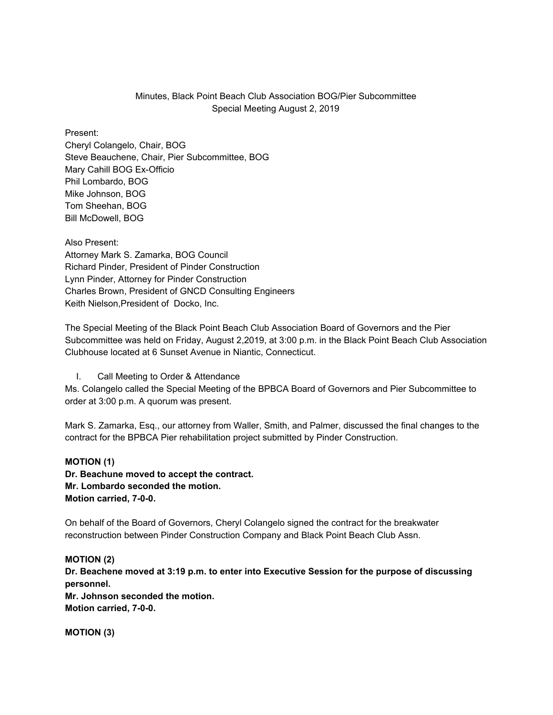## Minutes, Black Point Beach Club Association BOG/Pier Subcommittee Special Meeting August 2, 2019

## Present:

Cheryl Colangelo, Chair, BOG Steve Beauchene, Chair, Pier Subcommittee, BOG Mary Cahill BOG Ex-Officio Phil Lombardo, BOG Mike Johnson, BOG Tom Sheehan, BOG Bill McDowell, BOG

Also Present: Attorney Mark S. Zamarka, BOG Council Richard Pinder, President of Pinder Construction Lynn Pinder, Attorney for Pinder Construction Charles Brown, President of GNCD Consulting Engineers Keith Nielson,President of Docko, Inc.

The Special Meeting of the Black Point Beach Club Association Board of Governors and the Pier Subcommittee was held on Friday, August 2,2019, at 3:00 p.m. in the Black Point Beach Club Association Clubhouse located at 6 Sunset Avenue in Niantic, Connecticut.

I. Call Meeting to Order & Attendance

Ms. Colangelo called the Special Meeting of the BPBCA Board of Governors and Pier Subcommittee to order at 3:00 p.m. A quorum was present.

Mark S. Zamarka, Esq., our attorney from Waller, Smith, and Palmer, discussed the final changes to the contract for the BPBCA Pier rehabilitation project submitted by Pinder Construction.

## **MOTION (1)**

**Dr. Beachune moved to accept the contract. Mr. Lombardo seconded the motion. Motion carried, 7-0-0.**

On behalf of the Board of Governors, Cheryl Colangelo signed the contract for the breakwater reconstruction between Pinder Construction Company and Black Point Beach Club Assn.

## **MOTION (2) Dr. Beachene moved at 3:19 p.m. to enter into Executive Session for the purpose of discussing personnel. Mr. Johnson seconded the motion. Motion carried, 7-0-0.**

**MOTION (3)**